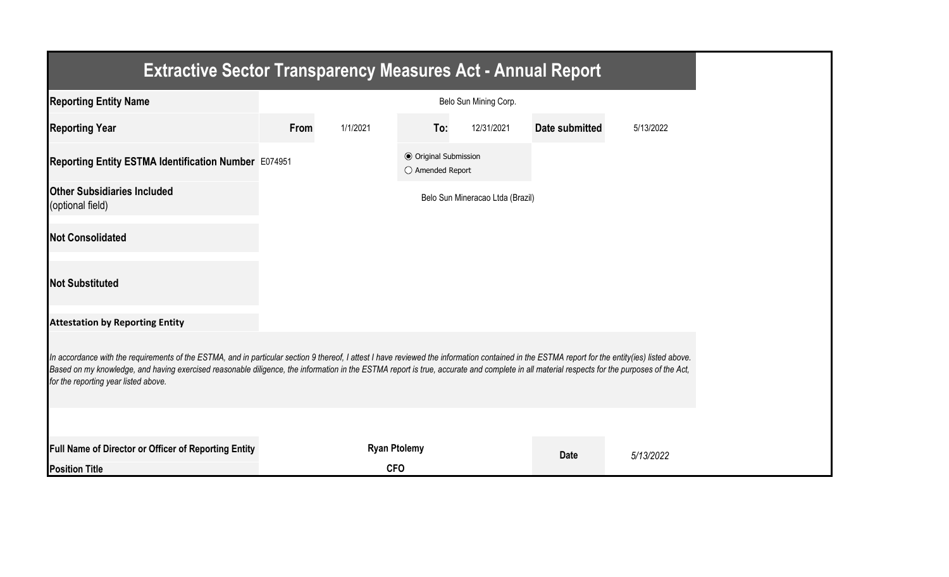| <b>Extractive Sector Transparency Measures Act - Annual Report</b>                                                                                                                                                                                                                                                                                                                                                                    |      |                     |                                                  |                                  |                |           |  |
|---------------------------------------------------------------------------------------------------------------------------------------------------------------------------------------------------------------------------------------------------------------------------------------------------------------------------------------------------------------------------------------------------------------------------------------|------|---------------------|--------------------------------------------------|----------------------------------|----------------|-----------|--|
| <b>Reporting Entity Name</b>                                                                                                                                                                                                                                                                                                                                                                                                          |      |                     |                                                  | Belo Sun Mining Corp.            |                |           |  |
| <b>Reporting Year</b>                                                                                                                                                                                                                                                                                                                                                                                                                 | From | 1/1/2021            | To:                                              | 12/31/2021                       | Date submitted | 5/13/2022 |  |
| Reporting Entity ESTMA Identification Number E074951                                                                                                                                                                                                                                                                                                                                                                                  |      |                     | <b>● Original Submission</b><br>○ Amended Report |                                  |                |           |  |
| <b>Other Subsidiaries Included</b><br>(optional field)                                                                                                                                                                                                                                                                                                                                                                                |      |                     |                                                  | Belo Sun Mineracao Ltda (Brazil) |                |           |  |
| <b>Not Consolidated</b>                                                                                                                                                                                                                                                                                                                                                                                                               |      |                     |                                                  |                                  |                |           |  |
| <b>Not Substituted</b>                                                                                                                                                                                                                                                                                                                                                                                                                |      |                     |                                                  |                                  |                |           |  |
| <b>Attestation by Reporting Entity</b>                                                                                                                                                                                                                                                                                                                                                                                                |      |                     |                                                  |                                  |                |           |  |
| In accordance with the requirements of the ESTMA, and in particular section 9 thereof, I attest I have reviewed the information contained in the ESTMA report for the entity(ies) listed above.<br>Based on my knowledge, and having exercised reasonable diligence, the information in the ESTMA report is true, accurate and complete in all material respects for the purposes of the Act,<br>for the reporting year listed above. |      |                     |                                                  |                                  |                |           |  |
|                                                                                                                                                                                                                                                                                                                                                                                                                                       |      |                     |                                                  |                                  |                |           |  |
| Full Name of Director or Officer of Reporting Entity                                                                                                                                                                                                                                                                                                                                                                                  |      | <b>Ryan Ptolemy</b> |                                                  |                                  | <b>Date</b>    | 5/13/2022 |  |
| <b>Position Title</b>                                                                                                                                                                                                                                                                                                                                                                                                                 |      | <b>CFO</b>          |                                                  |                                  |                |           |  |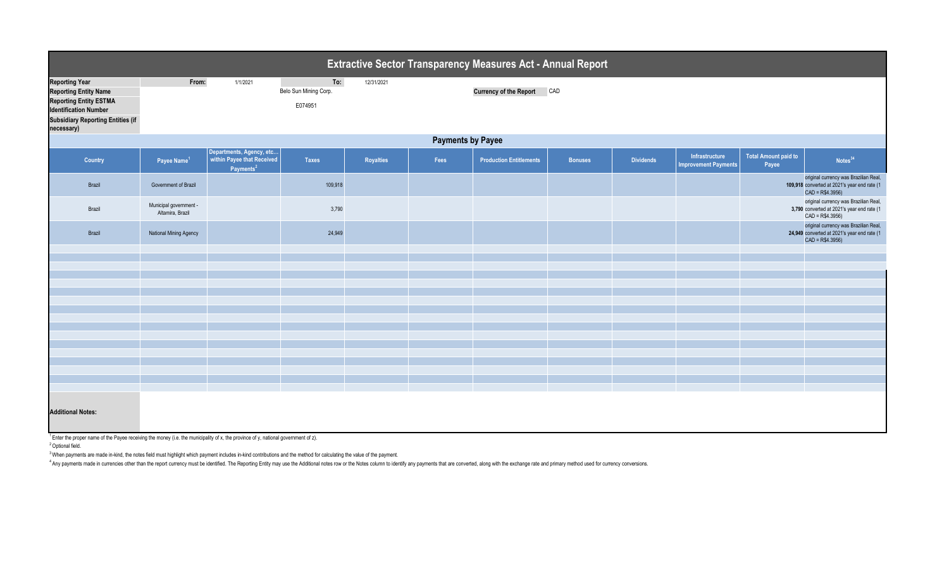|                                                                                                                                                                                  | <b>Extractive Sector Transparency Measures Act - Annual Report</b> |                                                                                 |                                         |            |      |                                |                |                  |                                               |                                      |                                                                                                           |  |  |
|----------------------------------------------------------------------------------------------------------------------------------------------------------------------------------|--------------------------------------------------------------------|---------------------------------------------------------------------------------|-----------------------------------------|------------|------|--------------------------------|----------------|------------------|-----------------------------------------------|--------------------------------------|-----------------------------------------------------------------------------------------------------------|--|--|
| <b>Reporting Year</b><br><b>Reporting Entity Name</b><br><b>Reporting Entity ESTMA</b><br><b>Identification Number</b><br><b>Subsidiary Reporting Entities (if</b><br>necessary) | From:                                                              | 1/1/2021                                                                        | To:<br>Belo Sun Mining Corp.<br>E074951 | 12/31/2021 |      | <b>Currency of the Report</b>  | CAD            |                  |                                               |                                      |                                                                                                           |  |  |
|                                                                                                                                                                                  | <b>Payments by Payee</b>                                           |                                                                                 |                                         |            |      |                                |                |                  |                                               |                                      |                                                                                                           |  |  |
| Country                                                                                                                                                                          | Payee Name <sup>1</sup>                                            | Departments, Agency, etc<br>within Payee that Received<br>Payments <sup>2</sup> | <b>Taxes</b>                            | Royalties  | Fees | <b>Production Entitlements</b> | <b>Bonuses</b> | <b>Dividends</b> | Infrastructure<br><b>Improvement Payments</b> | <b>Total Amount paid to</b><br>Payee | Notes <sup>34</sup>                                                                                       |  |  |
| Brazil                                                                                                                                                                           | Government of Brazil                                               |                                                                                 | 109,918                                 |            |      |                                |                |                  |                                               |                                      | original currency was Brazilian Real,<br>109,918 converted at 2021's year end rate (1<br>$CAD = R$4.3956$ |  |  |
| Brazil                                                                                                                                                                           | Municipal government -<br>Altamira, Brazil                         |                                                                                 | 3,790                                   |            |      |                                |                |                  |                                               |                                      | original currency was Brazilian Real,<br>3,790 converted at 2021's year end rate (1<br>$CAD = R$4.3956)$  |  |  |
| Brazil                                                                                                                                                                           | National Mining Agency                                             |                                                                                 | 24,949                                  |            |      |                                |                |                  |                                               |                                      | original currency was Brazilian Real,<br>24,949 converted at 2021's year end rate (1<br>$CAD = R$4.3956$  |  |  |
|                                                                                                                                                                                  |                                                                    |                                                                                 |                                         |            |      |                                |                |                  |                                               |                                      |                                                                                                           |  |  |
|                                                                                                                                                                                  |                                                                    |                                                                                 |                                         |            |      |                                |                |                  |                                               |                                      |                                                                                                           |  |  |
|                                                                                                                                                                                  |                                                                    |                                                                                 |                                         |            |      |                                |                |                  |                                               |                                      |                                                                                                           |  |  |
|                                                                                                                                                                                  |                                                                    |                                                                                 |                                         |            |      |                                |                |                  |                                               |                                      |                                                                                                           |  |  |
|                                                                                                                                                                                  |                                                                    |                                                                                 |                                         |            |      |                                |                |                  |                                               |                                      |                                                                                                           |  |  |
|                                                                                                                                                                                  |                                                                    |                                                                                 |                                         |            |      |                                |                |                  |                                               |                                      |                                                                                                           |  |  |
|                                                                                                                                                                                  |                                                                    |                                                                                 |                                         |            |      |                                |                |                  |                                               |                                      |                                                                                                           |  |  |
|                                                                                                                                                                                  |                                                                    |                                                                                 |                                         |            |      |                                |                |                  |                                               |                                      |                                                                                                           |  |  |
|                                                                                                                                                                                  |                                                                    |                                                                                 |                                         |            |      |                                |                |                  |                                               |                                      |                                                                                                           |  |  |
|                                                                                                                                                                                  |                                                                    |                                                                                 |                                         |            |      |                                |                |                  |                                               |                                      |                                                                                                           |  |  |
|                                                                                                                                                                                  |                                                                    |                                                                                 |                                         |            |      |                                |                |                  |                                               |                                      |                                                                                                           |  |  |
|                                                                                                                                                                                  |                                                                    |                                                                                 |                                         |            |      |                                |                |                  |                                               |                                      |                                                                                                           |  |  |
|                                                                                                                                                                                  |                                                                    |                                                                                 |                                         |            |      |                                |                |                  |                                               |                                      |                                                                                                           |  |  |
| <b>Additional Notes:</b>                                                                                                                                                         |                                                                    |                                                                                 |                                         |            |      |                                |                |                  |                                               |                                      |                                                                                                           |  |  |

 $1$  Enter the proper name of the Payee receiving the money (i.e. the municipality of x, the province of y, national government of z).

<sup>2</sup> Optional field.

<sup>3</sup> When payments are made in-kind, the notes field must highlight which payment includes in-kind contributions and the method for calculating the value of the payment.

<sup>4</sup> Any payments made in currencies other than the report currency must be identified. The Reporting Entity may use the Additional notes row or the Notes column to identify any payments that are converted, along with the e